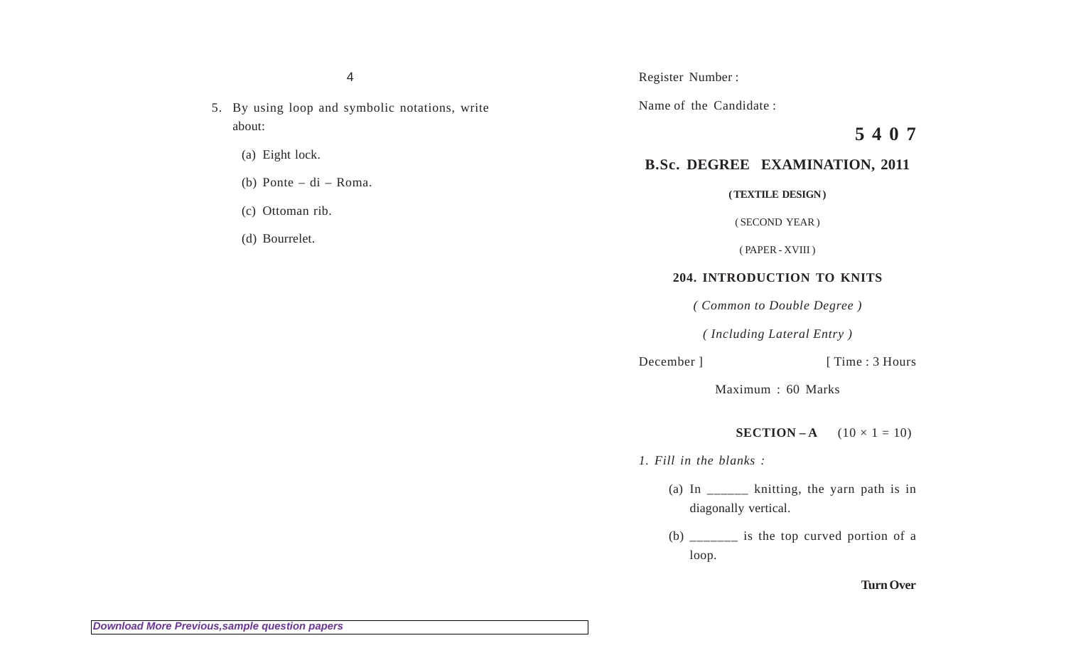4

- 5. By using loop and symbolic notations, write about:
	- (a) Eight lock.
	- (b) Ponte di Roma.
	- (c) Ottoman rib.
	- (d) Bourrelet.

Name of the Candidate :

**5 4 0 7**

## **B.Sc. DEGREE EXAMINATION, 2011**

**( TEXTILE DESIGN )**

( SECOND YEAR )

( PAPER - XVIII )

## **204. INTRODUCTION TO KNITS**

*( Common to Double Degree )*

*( Including Lateral Entry )*

December ] [ Time : 3 Hours

Maximum : 60 Marks

**SECTION – A**  $(10 \times 1 = 10)$ 

*1. Fill in the blanks :*

- (a) In \_\_\_\_\_\_ knitting, the yarn path is in diagonally vertical.
- (b)  $\frac{1}{2}$  is the top curved portion of a loop.

## **Turn Over**